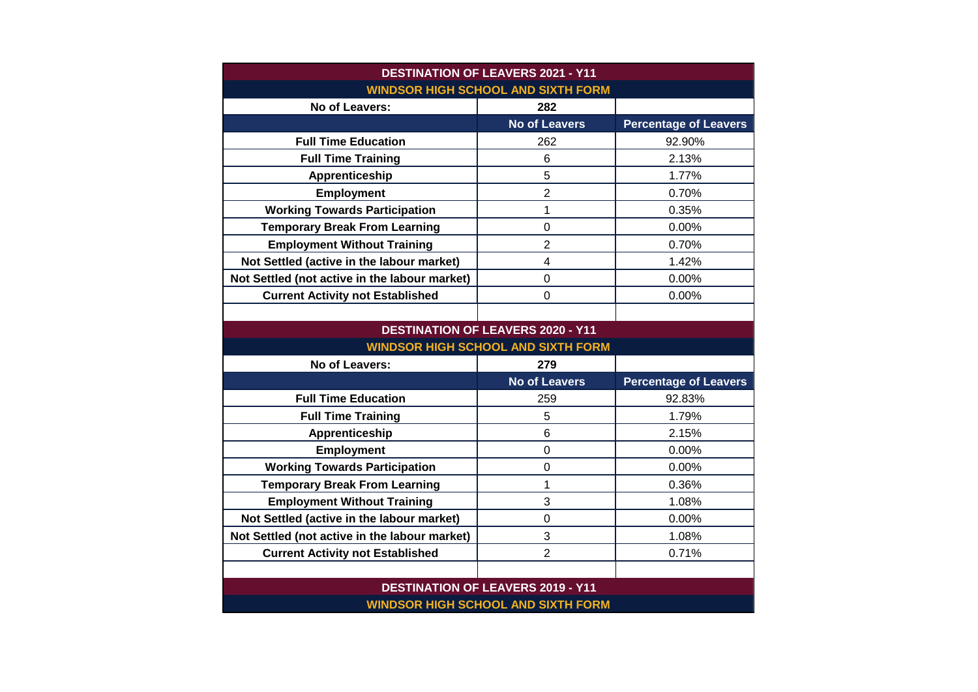| <b>DESTINATION OF LEAVERS 2021 - Y11</b>      |                                          |                              |  |
|-----------------------------------------------|------------------------------------------|------------------------------|--|
| <b>WINDSOR HIGH SCHOOL AND SIXTH FORM</b>     |                                          |                              |  |
| No of Leavers:                                | 282                                      |                              |  |
|                                               | <b>No of Leavers</b>                     | <b>Percentage of Leavers</b> |  |
| <b>Full Time Education</b>                    | 262                                      | 92.90%                       |  |
| <b>Full Time Training</b>                     | 6                                        | 2.13%                        |  |
| Apprenticeship                                | 5                                        | 1.77%                        |  |
| <b>Employment</b>                             | $\overline{2}$                           | 0.70%                        |  |
| <b>Working Towards Participation</b>          | 1                                        | 0.35%                        |  |
| <b>Temporary Break From Learning</b>          | $\boldsymbol{0}$                         | 0.00%                        |  |
| <b>Employment Without Training</b>            | $\overline{2}$                           | 0.70%                        |  |
| Not Settled (active in the labour market)     | $\overline{\mathbf{4}}$                  | 1.42%                        |  |
| Not Settled (not active in the labour market) | $\mathbf 0$                              | 0.00%                        |  |
| <b>Current Activity not Established</b>       | $\overline{0}$                           | 0.00%                        |  |
|                                               |                                          |                              |  |
| <b>DESTINATION OF LEAVERS 2020 - Y11</b>      |                                          |                              |  |
| <b>WINDSOR HIGH SCHOOL AND SIXTH FORM</b>     |                                          |                              |  |
|                                               |                                          |                              |  |
| No of Leavers:                                | 279                                      |                              |  |
|                                               | <b>No of Leavers</b>                     | <b>Percentage of Leavers</b> |  |
| <b>Full Time Education</b>                    | 259                                      | 92.83%                       |  |
| <b>Full Time Training</b>                     | 5                                        | 1.79%                        |  |
| Apprenticeship                                | $6\phantom{1}$                           | 2.15%                        |  |
| Employment                                    | $\overline{0}$                           | 0.00%                        |  |
| <b>Working Towards Participation</b>          | 0                                        | 0.00%                        |  |
| <b>Temporary Break From Learning</b>          | 1                                        | 0.36%                        |  |
| <b>Employment Without Training</b>            | 3                                        | 1.08%                        |  |
| Not Settled (active in the labour market)     | $\mathbf 0$                              | 0.00%                        |  |
| Not Settled (not active in the labour market) | 3                                        | 1.08%                        |  |
| <b>Current Activity not Established</b>       | $\overline{2}$                           | 0.71%                        |  |
|                                               |                                          |                              |  |
|                                               | <b>DESTINATION OF LEAVERS 2019 - Y11</b> |                              |  |